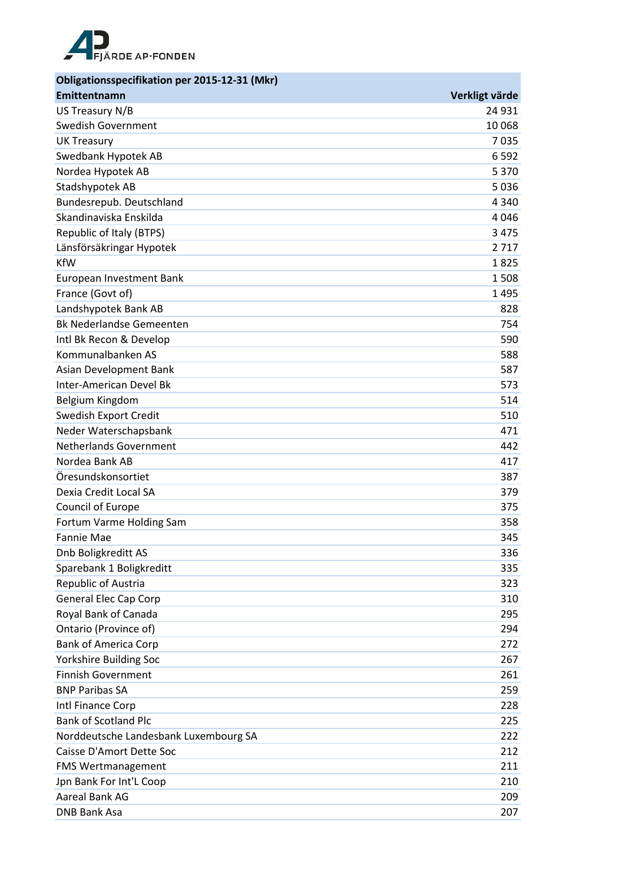

| Obligationsspecifikation per 2015-12-31 (Mkr) |                |
|-----------------------------------------------|----------------|
| Emittentnamn                                  | Verkligt värde |
| US Treasury N/B                               | 24 931         |
| <b>Swedish Government</b>                     | 10 068         |
| <b>UK Treasury</b>                            | 7035           |
| Swedbank Hypotek AB                           | 6 5 9 2        |
| Nordea Hypotek AB                             | 5 3 7 0        |
| Stadshypotek AB                               | 5036           |
| Bundesrepub. Deutschland                      | 4 3 4 0        |
| Skandinaviska Enskilda                        | 4046           |
| Republic of Italy (BTPS)                      | 3 4 7 5        |
| Länsförsäkringar Hypotek                      | 2717           |
| <b>KfW</b>                                    | 1825           |
| European Investment Bank                      | 1508           |
| France (Govt of)                              | 1495           |
| Landshypotek Bank AB                          | 828            |
| <b>Bk Nederlandse Gemeenten</b>               | 754            |
| Intl Bk Recon & Develop                       | 590            |
| Kommunalbanken AS                             | 588            |
| Asian Development Bank                        | 587            |
| <b>Inter-American Devel Bk</b>                | 573            |
| Belgium Kingdom                               | 514            |
| Swedish Export Credit                         | 510            |
| Neder Waterschapsbank                         | 471            |
| <b>Netherlands Government</b>                 | 442            |
| Nordea Bank AB                                | 417            |
| Öresundskonsortiet                            | 387            |
| Dexia Credit Local SA                         | 379            |
| Council of Europe                             | 375            |
| Fortum Varme Holding Sam                      | 358            |
| <b>Fannie Mae</b>                             | 345            |
| Dnb Boligkreditt AS                           | 336            |
| Sparebank 1 Boligkreditt                      | 335            |
| Republic of Austria                           | 323            |
| <b>General Elec Cap Corp</b>                  | 310            |
| Royal Bank of Canada                          | 295            |
| Ontario (Province of)                         | 294            |
| <b>Bank of America Corp</b>                   | 272            |
| Yorkshire Building Soc                        | 267            |
| <b>Finnish Government</b>                     | 261            |
| <b>BNP Paribas SA</b>                         | 259            |
| Intl Finance Corp                             | 228            |
| <b>Bank of Scotland Plc</b>                   | 225            |
| Norddeutsche Landesbank Luxembourg SA         | 222            |
| Caisse D'Amort Dette Soc                      | 212            |
| <b>FMS Wertmanagement</b>                     | 211            |
| Jpn Bank For Int'L Coop                       | 210            |
| Aareal Bank AG                                | 209            |
| <b>DNB Bank Asa</b>                           | 207            |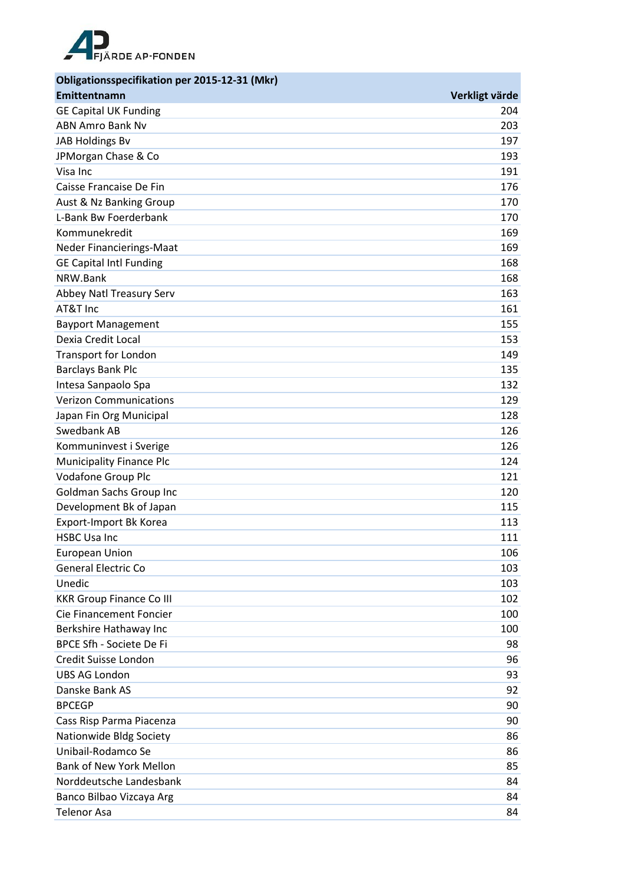

| Obligationsspecifikation per 2015-12-31 (Mkr) |                |
|-----------------------------------------------|----------------|
| Emittentnamn                                  | Verkligt värde |
| <b>GE Capital UK Funding</b>                  | 204            |
| <b>ABN Amro Bank Nv</b>                       | 203            |
| JAB Holdings Bv                               | 197            |
| JPMorgan Chase & Co                           | 193            |
| Visa Inc                                      | 191            |
| Caisse Francaise De Fin                       | 176            |
| Aust & Nz Banking Group                       | 170            |
| L-Bank Bw Foerderbank                         | 170            |
| Kommunekredit                                 | 169            |
| Neder Financierings-Maat                      | 169            |
| <b>GE Capital Intl Funding</b>                | 168            |
| NRW.Bank                                      | 168            |
| Abbey Natl Treasury Serv                      | 163            |
| AT&T Inc                                      | 161            |
| <b>Bayport Management</b>                     | 155            |
| Dexia Credit Local                            | 153            |
| <b>Transport for London</b>                   | 149            |
| <b>Barclays Bank Plc</b>                      | 135            |
| Intesa Sanpaolo Spa                           | 132            |
| <b>Verizon Communications</b>                 | 129            |
| Japan Fin Org Municipal                       | 128            |
| Swedbank AB                                   | 126            |
| Kommuninvest i Sverige                        | 126            |
| <b>Municipality Finance Plc</b>               | 124            |
| Vodafone Group Plc                            | 121            |
| Goldman Sachs Group Inc                       | 120            |
| Development Bk of Japan                       | 115            |
| Export-Import Bk Korea                        | 113            |
| <b>HSBC Usa Inc</b>                           | 111            |
| <b>European Union</b>                         | 106            |
| <b>General Electric Co</b>                    | 103            |
| Unedic                                        | 103            |
| <b>KKR Group Finance Co III</b>               | 102            |
| Cie Financement Foncier                       | 100            |
| Berkshire Hathaway Inc                        | 100            |
| BPCE Sfh - Societe De Fi                      | 98             |
| Credit Suisse London                          | 96             |
| <b>UBS AG London</b>                          | 93             |
| Danske Bank AS                                | 92             |
| <b>BPCEGP</b>                                 | 90             |
| Cass Risp Parma Piacenza                      | 90             |
| Nationwide Bldg Society                       | 86             |
| Unibail-Rodamco Se                            | 86             |
| <b>Bank of New York Mellon</b>                | 85             |
| Norddeutsche Landesbank                       | 84             |
| Banco Bilbao Vizcaya Arg                      | 84             |
| <b>Telenor Asa</b>                            | 84             |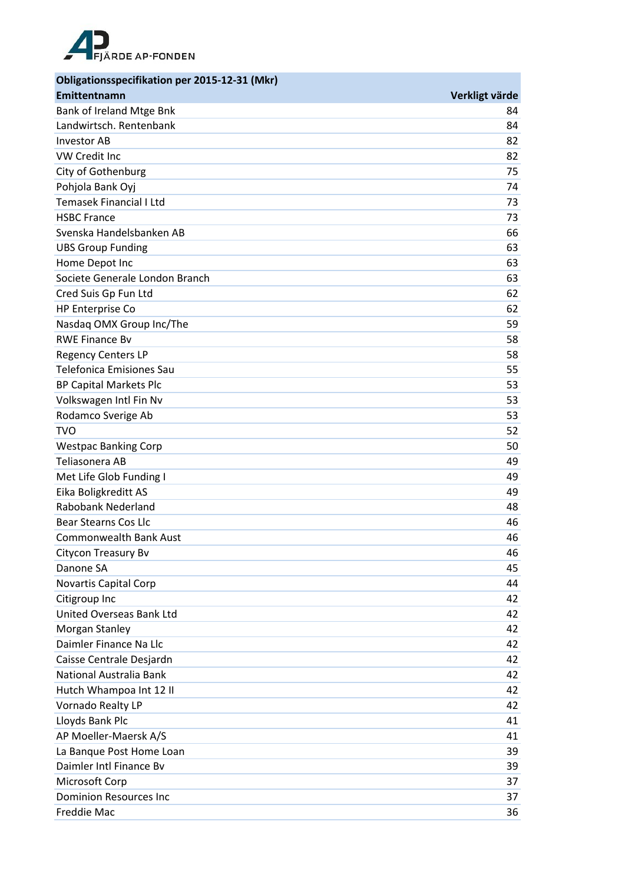

| Obligationsspecifikation per 2015-12-31 (Mkr) |                |
|-----------------------------------------------|----------------|
| Emittentnamn                                  | Verkligt värde |
| Bank of Ireland Mtge Bnk                      | 84             |
| Landwirtsch. Rentenbank                       | 84             |
| <b>Investor AB</b>                            | 82             |
| <b>VW Credit Inc</b>                          | 82             |
| City of Gothenburg                            | 75             |
| Pohjola Bank Oyj                              | 74             |
| <b>Temasek Financial I Ltd</b>                | 73             |
| <b>HSBC France</b>                            | 73             |
| Svenska Handelsbanken AB                      | 66             |
| <b>UBS Group Funding</b>                      | 63             |
| Home Depot Inc                                | 63             |
| Societe Generale London Branch                | 63             |
| Cred Suis Gp Fun Ltd                          | 62             |
| HP Enterprise Co                              | 62             |
| Nasdaq OMX Group Inc/The                      | 59             |
| <b>RWE Finance Bv</b>                         | 58             |
| <b>Regency Centers LP</b>                     | 58             |
| <b>Telefonica Emisiones Sau</b>               | 55             |
| <b>BP Capital Markets Plc</b>                 | 53             |
| Volkswagen Intl Fin Nv                        | 53             |
| Rodamco Sverige Ab                            | 53             |
| <b>TVO</b>                                    | 52             |
| <b>Westpac Banking Corp</b>                   | 50             |
| Teliasonera AB                                | 49             |
| Met Life Glob Funding I                       | 49             |
| Eika Boligkreditt AS                          | 49             |
| <b>Rabobank Nederland</b>                     | 48             |
| <b>Bear Stearns Cos Llc</b>                   | 46             |
| <b>Commonwealth Bank Aust</b>                 | 46             |
| Citycon Treasury Bv                           | 46             |
| Danone SA                                     | 45             |
| Novartis Capital Corp                         | 44             |
| Citigroup Inc                                 | 42             |
| United Overseas Bank Ltd                      | 42             |
| Morgan Stanley                                | 42             |
| Daimler Finance Na Llc                        | 42             |
| Caisse Centrale Desjardn                      | 42             |
| National Australia Bank                       | 42             |
| Hutch Whampoa Int 12 II                       | 42             |
| Vornado Realty LP                             | 42             |
| Lloyds Bank Plc                               | 41             |
| AP Moeller-Maersk A/S                         | 41             |
| La Banque Post Home Loan                      | 39             |
| Daimler Intl Finance Bv                       | 39             |
| Microsoft Corp                                | 37             |
| <b>Dominion Resources Inc</b>                 | 37             |
| Freddie Mac                                   | 36             |